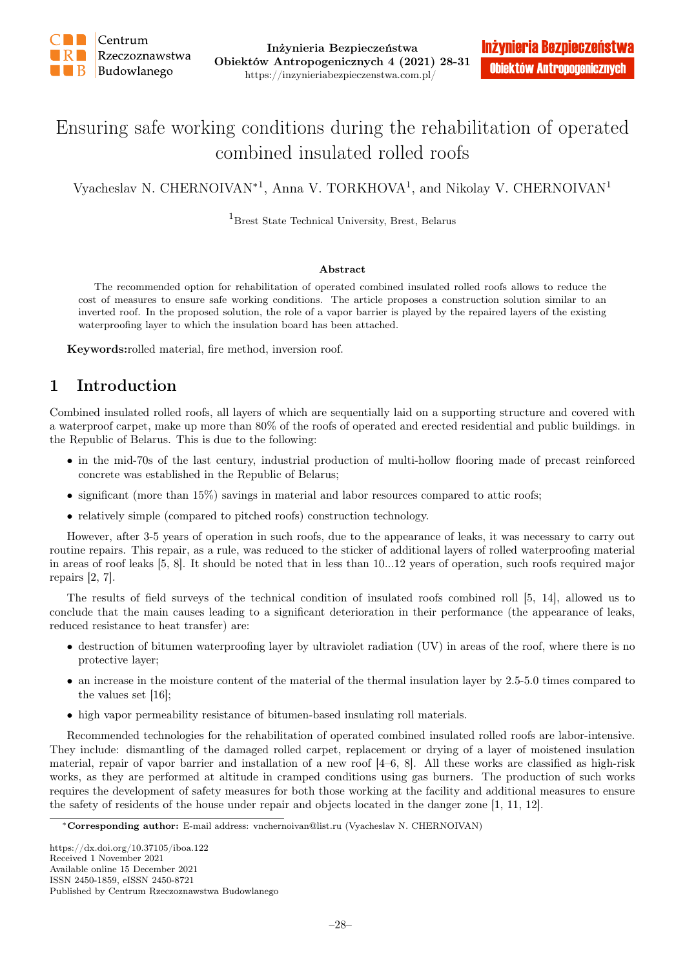

# Ensuring safe working conditions during the rehabilitation of operated combined insulated rolled roofs

Vyacheslav N. CHERNOIVAN<sup>\*1</sup>, Anna V. TORKHOVA<sup>1</sup>, and Nikolay V. CHERNOIVAN<sup>1</sup>

<sup>1</sup>Brest State Technical University, Brest, Belarus

#### Abstract

The recommended option for rehabilitation of operated combined insulated rolled roofs allows to reduce the cost of measures to ensure safe working conditions. The article proposes a construction solution similar to an inverted roof. In the proposed solution, the role of a vapor barrier is played by the repaired layers of the existing waterproofing layer to which the insulation board has been attached.

Keywords:rolled material, fire method, inversion roof.

## 1 Introduction

Combined insulated rolled roofs, all layers of which are sequentially laid on a supporting structure and covered with a waterproof carpet, make up more than 80% of the roofs of operated and erected residential and public buildings. in the Republic of Belarus. This is due to the following:

- in the mid-70s of the last century, industrial production of multi-hollow flooring made of precast reinforced concrete was established in the Republic of Belarus;
- significant (more than 15%) savings in material and labor resources compared to attic roofs;
- relatively simple (compared to pitched roofs) construction technology.

However, after 3-5 years of operation in such roofs, due to the appearance of leaks, it was necessary to carry out routine repairs. This repair, as a rule, was reduced to the sticker of additional layers of rolled waterproofing material in areas of roof leaks [5, 8]. It should be noted that in less than 10...12 years of operation, such roofs required major repairs [2, 7].

The results of field surveys of the technical condition of insulated roofs combined roll [5, 14], allowed us to conclude that the main causes leading to a significant deterioration in their performance (the appearance of leaks, reduced resistance to heat transfer) are:

- destruction of bitumen waterproofing layer by ultraviolet radiation (UV) in areas of the roof, where there is no protective layer;
- an increase in the moisture content of the material of the thermal insulation layer by 2.5-5.0 times compared to the values set [16];
- high vapor permeability resistance of bitumen-based insulating roll materials.

Recommended technologies for the rehabilitation of operated combined insulated rolled roofs are labor-intensive. They include: dismantling of the damaged rolled carpet, replacement or drying of a layer of moistened insulation material, repair of vapor barrier and installation of a new roof [4–6, 8]. All these works are classified as high-risk works, as they are performed at altitude in cramped conditions using gas burners. The production of such works requires the development of safety measures for both those working at the facility and additional measures to ensure the safety of residents of the house under repair and objects located in the danger zone [1, 11, 12].

<sup>∗</sup>Corresponding author: E-mail address: vnchernoivan@list.ru (Vyacheslav N. CHERNOIVAN)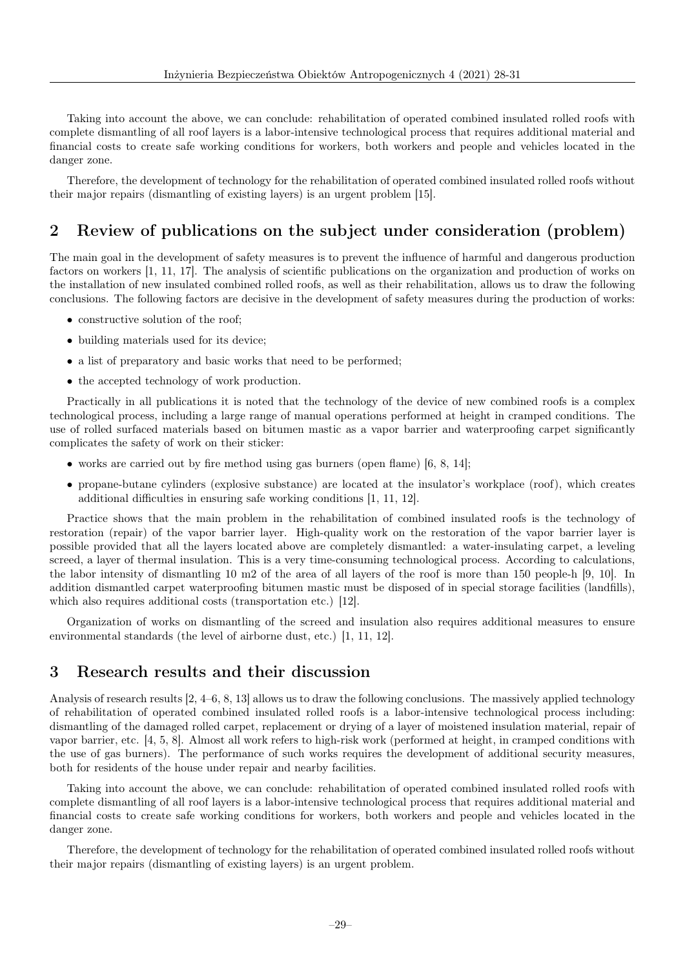Taking into account the above, we can conclude: rehabilitation of operated combined insulated rolled roofs with complete dismantling of all roof layers is a labor-intensive technological process that requires additional material and financial costs to create safe working conditions for workers, both workers and people and vehicles located in the danger zone.

Therefore, the development of technology for the rehabilitation of operated combined insulated rolled roofs without their major repairs (dismantling of existing layers) is an urgent problem [15].

## 2 Review of publications on the subject under consideration (problem)

The main goal in the development of safety measures is to prevent the influence of harmful and dangerous production factors on workers [1, 11, 17]. The analysis of scientific publications on the organization and production of works on the installation of new insulated combined rolled roofs, as well as their rehabilitation, allows us to draw the following conclusions. The following factors are decisive in the development of safety measures during the production of works:

- constructive solution of the roof;
- building materials used for its device:
- a list of preparatory and basic works that need to be performed:
- the accepted technology of work production.

Practically in all publications it is noted that the technology of the device of new combined roofs is a complex technological process, including a large range of manual operations performed at height in cramped conditions. The use of rolled surfaced materials based on bitumen mastic as a vapor barrier and waterproofing carpet significantly complicates the safety of work on their sticker:

- works are carried out by fire method using gas burners (open flame)  $[6, 8, 14]$ ;
- propane-butane cylinders (explosive substance) are located at the insulator's workplace (roof), which creates additional difficulties in ensuring safe working conditions [1, 11, 12].

Practice shows that the main problem in the rehabilitation of combined insulated roofs is the technology of restoration (repair) of the vapor barrier layer. High-quality work on the restoration of the vapor barrier layer is possible provided that all the layers located above are completely dismantled: a water-insulating carpet, a leveling screed, a layer of thermal insulation. This is a very time-consuming technological process. According to calculations, the labor intensity of dismantling 10 m2 of the area of all layers of the roof is more than 150 people-h [9, 10]. In addition dismantled carpet waterproofing bitumen mastic must be disposed of in special storage facilities (landfills), which also requires additional costs (transportation etc.) [12].

Organization of works on dismantling of the screed and insulation also requires additional measures to ensure environmental standards (the level of airborne dust, etc.) [1, 11, 12].

### 3 Research results and their discussion

Analysis of research results [2, 4–6, 8, 13] allows us to draw the following conclusions. The massively applied technology of rehabilitation of operated combined insulated rolled roofs is a labor-intensive technological process including: dismantling of the damaged rolled carpet, replacement or drying of a layer of moistened insulation material, repair of vapor barrier, etc. [4, 5, 8]. Almost all work refers to high-risk work (performed at height, in cramped conditions with the use of gas burners). The performance of such works requires the development of additional security measures, both for residents of the house under repair and nearby facilities.

Taking into account the above, we can conclude: rehabilitation of operated combined insulated rolled roofs with complete dismantling of all roof layers is a labor-intensive technological process that requires additional material and financial costs to create safe working conditions for workers, both workers and people and vehicles located in the danger zone.

Therefore, the development of technology for the rehabilitation of operated combined insulated rolled roofs without their major repairs (dismantling of existing layers) is an urgent problem.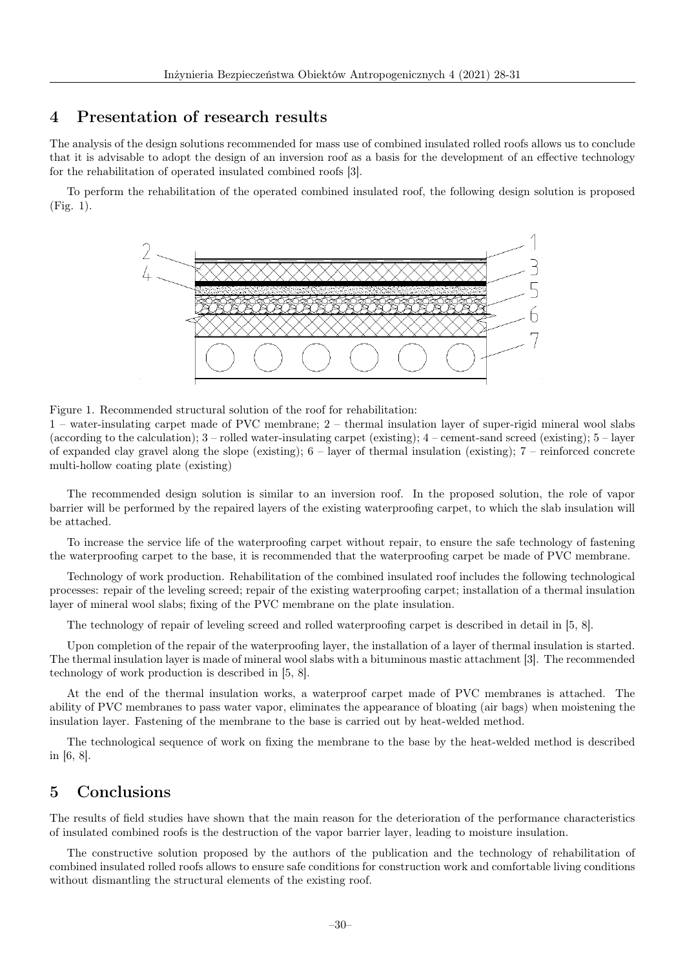### 4 Presentation of research results

The analysis of the design solutions recommended for mass use of combined insulated rolled roofs allows us to conclude that it is advisable to adopt the design of an inversion roof as a basis for the development of an effective technology for the rehabilitation of operated insulated combined roofs [3].

To perform the rehabilitation of the operated combined insulated roof, the following design solution is proposed (Fig. 1).



Figure 1. Recommended structural solution of the roof for rehabilitation:

1 – water-insulating carpet made of PVC membrane; 2 – thermal insulation layer of super-rigid mineral wool slabs (according to the calculation); 3 – rolled water-insulating carpet (existing); 4 – cement-sand screed (existing); 5 – layer of expanded clay gravel along the slope (existing);  $6$  – layer of thermal insulation (existing);  $7$  – reinforced concrete multi-hollow coating plate (existing)

The recommended design solution is similar to an inversion roof. In the proposed solution, the role of vapor barrier will be performed by the repaired layers of the existing waterproofing carpet, to which the slab insulation will be attached.

To increase the service life of the waterproofing carpet without repair, to ensure the safe technology of fastening the waterproofing carpet to the base, it is recommended that the waterproofing carpet be made of PVC membrane.

Technology of work production. Rehabilitation of the combined insulated roof includes the following technological processes: repair of the leveling screed; repair of the existing waterproofing carpet; installation of a thermal insulation layer of mineral wool slabs; fixing of the PVC membrane on the plate insulation.

The technology of repair of leveling screed and rolled waterproofing carpet is described in detail in [5, 8].

Upon completion of the repair of the waterproofing layer, the installation of a layer of thermal insulation is started. The thermal insulation layer is made of mineral wool slabs with a bituminous mastic attachment [3]. The recommended technology of work production is described in [5, 8].

At the end of the thermal insulation works, a waterproof carpet made of PVC membranes is attached. The ability of PVC membranes to pass water vapor, eliminates the appearance of bloating (air bags) when moistening the insulation layer. Fastening of the membrane to the base is carried out by heat-welded method.

The technological sequence of work on fixing the membrane to the base by the heat-welded method is described in [6, 8].

### 5 Conclusions

The results of field studies have shown that the main reason for the deterioration of the performance characteristics of insulated combined roofs is the destruction of the vapor barrier layer, leading to moisture insulation.

The constructive solution proposed by the authors of the publication and the technology of rehabilitation of combined insulated rolled roofs allows to ensure safe conditions for construction work and comfortable living conditions without dismantling the structural elements of the existing roof.